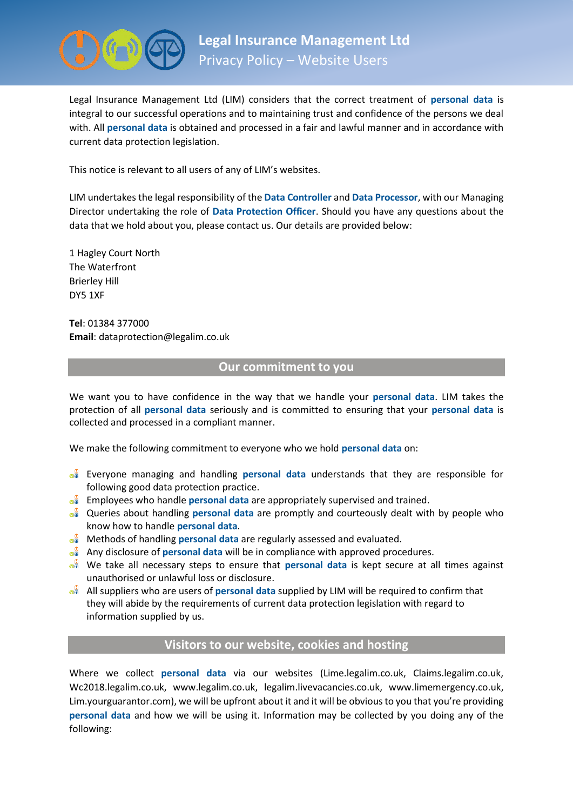

Legal Insurance Management Ltd (LIM) considers that the correct treatment of **personal data** is integral to our successful operations and to maintaining trust and confidence of the persons we deal with. All **personal data** is obtained and processed in a fair and lawful manner and in accordance with current data protection legislation.

This notice is relevant to all users of any of LIM's websites.

LIM undertakes the legal responsibility of the **Data Controller** and **Data Processor**, with our Managing Director undertaking the role of **Data Protection Officer**. Should you have any questions about the data that we hold about you, please contact us. Our details are provided below:

1 Hagley Court North The Waterfront Brierley Hill DY5 1XF

**Tel**: 01384 377000 **Email**: dataprotection@legalim.co.uk

# **Our commitment to you**

We want you to have confidence in the way that we handle your **personal data**. LIM takes the protection of all **personal data** seriously and is committed to ensuring that your **personal data** is collected and processed in a compliant manner.

We make the following commitment to everyone who we hold **personal data** on:

- Everyone managing and handling **personal data** understands that they are responsible for following good data protection practice.
- Employees who handle **personal data** are appropriately supervised and trained.
- Queries about handling **personal data** are promptly and courteously dealt with by people who know how to handle **personal data**.
- Methods of handling **personal data** are regularly assessed and evaluated.
- **Any disclosure of personal data** will be in compliance with approved procedures.
- We take all necessary steps to ensure that **personal data** is kept secure at all times against unauthorised or unlawful loss or disclosure.
- All suppliers who are users of **personal data** supplied by LIM will be required to confirm that they will abide by the requirements of current data protection legislation with regard to information supplied by us.

# **Visitors to our website, cookies and hosting**

Where we collect **personal data** via our websites (Lime.legalim.co.uk, Claims.legalim.co.uk, Wc2018.legalim.co.uk, www.legalim.co.uk, legalim.livevacancies.co.uk, www.limemergency.co.uk, Lim.yourguarantor.com), we will be upfront about it and it will be obvious to you that you're providing **personal data** and how we will be using it. Information may be collected by you doing any of the following: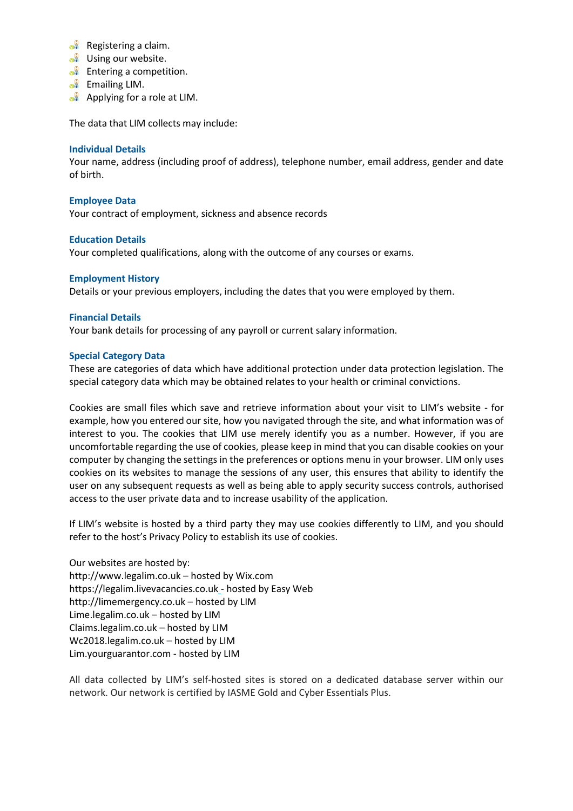- $\circ$ <sup> $\circ$ </sup> Registering a claim.
- $\circ$ <sup> $\circ$ </sup> Using our website.
- $\circ$  Entering a competition.
- $\circ$ <sup> $\circ$ </sup> Emailing LIM.
- **Applying for a role at LIM.**

The data that LIM collects may include:

### **Individual Details**

Your name, address (including proof of address), telephone number, email address, gender and date of birth.

### **Employee Data**

Your contract of employment, sickness and absence records

### **Education Details**

Your completed qualifications, along with the outcome of any courses or exams.

#### **Employment History**

Details or your previous employers, including the dates that you were employed by them.

### **Financial Details**

Your bank details for processing of any payroll or current salary information.

#### **Special Category Data**

These are categories of data which have additional protection under data protection legislation. The special category data which may be obtained relates to your health or criminal convictions.

Cookies are small files which save and retrieve information about your visit to LIM's website - for example, how you entered our site, how you navigated through the site, and what information was of interest to you. The cookies that LIM use merely identify you as a number. However, if you are uncomfortable regarding the use of cookies, please keep in mind that you can disable cookies on your computer by changing the settings in the preferences or options menu in your browser. LIM only uses cookies on its websites to manage the sessions of any user, this ensures that ability to identify the user on any subsequent requests as well as being able to apply security success controls, authorised access to the user private data and to increase usability of the application.

If LIM's website is hosted by a third party they may use cookies differently to LIM, and you should refer to the host's Privacy Policy to establish its use of cookies.

Our websites are hosted by: http://www.legalim.co.uk – hosted by Wix.com https://legalim.livevacancies.co.uk - hosted by Easy Web http://limemergency.co.uk – hosted by LIM Lime.legalim.co.uk – hosted by LIM Claims.legalim.co.uk – hosted by LIM Wc2018.legalim.co.uk – hosted by LIM Lim.yourguarantor.com - hosted by LIM

All data collected by LIM's self-hosted sites is stored on a dedicated database server within our network. Our network is certified by IASME Gold and Cyber Essentials Plus.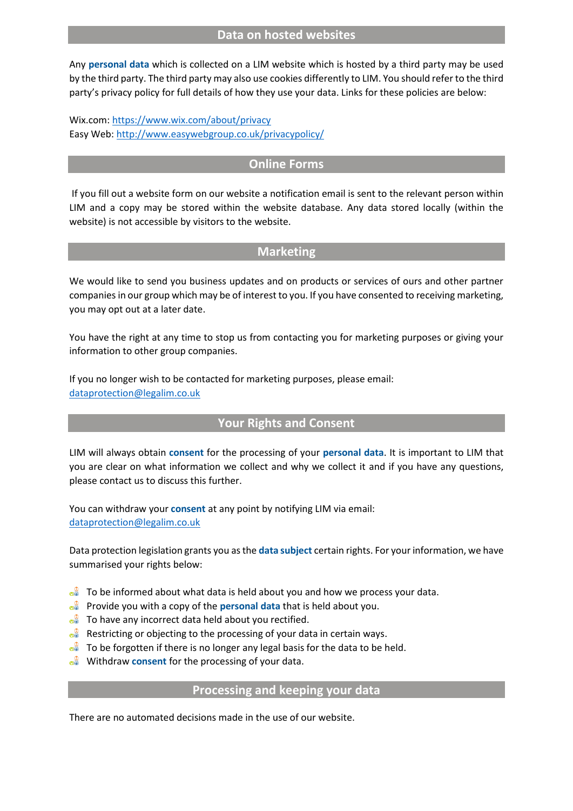### **Data on hosted websites**

Any **personal data** which is collected on a LIM website which is hosted by a third party may be used by the third party. The third party may also use cookies differently to LIM. You should refer to the third party's privacy policy for full details of how they use your data. Links for these policies are below:

Wix.com[: https://www.wix.com/about/privacy](https://www.wix.com/about/privacy) Easy Web:<http://www.easywebgroup.co.uk/privacypolicy/>

### **Online Forms**

If you fill out a website form on our website a notification email is sent to the relevant person within LIM and a copy may be stored within the website database. Any data stored locally (within the website) is not accessible by visitors to the website.

# **Marketing**

We would like to send you business updates and on products or services of ours and other partner companies in our group which may be of interest to you. If you have consented to receiving marketing, you may opt out at a later date.

You have the right at any time to stop us from contacting you for marketing purposes or giving your information to other group companies.

If you no longer wish to be contacted for marketing purposes, please email: [dataprotection@legalim.co.uk](mailto:dataprotection@legalim.co.uk)

# **Your Rights and Consent**

LIM will always obtain **consent** for the processing of your **personal data**. It is important to LIM that you are clear on what information we collect and why we collect it and if you have any questions, please contact us to discuss this further.

You can withdraw your **consent** at any point by notifying LIM via email: [dataprotection@legalim.co.uk](mailto:dataprotection@legalim.co.uk)

Data protection legislation grants you as the **data subject** certain rights. For your information, we have summarised your rights below:

- $\bullet$  To be informed about what data is held about you and how we process your data.
- Provide you with a copy of the **personal data** that is held about you.
- $\frac{1}{\sqrt{2}}$  To have any incorrect data held about you rectified.
- $\frac{1}{2}$  Restricting or objecting to the processing of your data in certain ways.
- $\frac{1}{2}$  To be forgotten if there is no longer any legal basis for the data to be held.
- **Withdraw consent for the processing of your data.**

### **Processing and keeping your data**

There are no automated decisions made in the use of our website.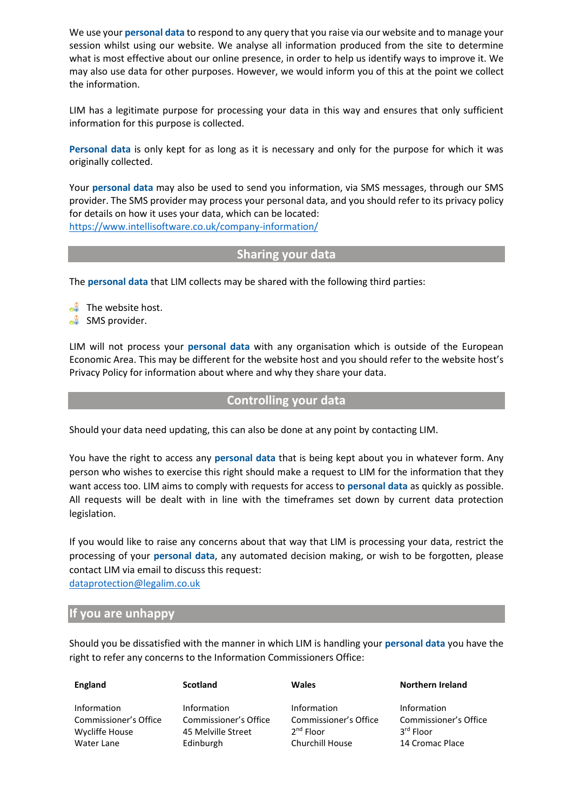We use your **personal data** to respond to any query that you raise via our website and to manage your session whilst using our website. We analyse all information produced from the site to determine what is most effective about our online presence, in order to help us identify ways to improve it. We may also use data for other purposes. However, we would inform you of this at the point we collect the information.

LIM has a legitimate purpose for processing your data in this way and ensures that only sufficient information for this purpose is collected.

**Personal data** is only kept for as long as it is necessary and only for the purpose for which it was originally collected.

Your **personal data** may also be used to send you information, via SMS messages, through our SMS provider. The SMS provider may process your personal data, and you should refer to its privacy policy for details on how it uses your data, which can be located: <https://www.intellisoftware.co.uk/company-information/>

**Sharing your data**

The **personal data** that LIM collects may be shared with the following third parties:

 $\bullet$  The website host.

**SMS** provider.

LIM will not process your **personal data** with any organisation which is outside of the European Economic Area. This may be different for the website host and you should refer to the website host's Privacy Policy for information about where and why they share your data.

## **Controlling your data**

Should your data need updating, this can also be done at any point by contacting LIM.

You have the right to access any **personal data** that is being kept about you in whatever form. Any person who wishes to exercise this right should make a request to LIM for the information that they want access too. LIM aims to comply with requests for access to **personal data** as quickly as possible. All requests will be dealt with in line with the timeframes set down by current data protection legislation.

If you would like to raise any concerns about that way that LIM is processing your data, restrict the processing of your **personal data**, any automated decision making, or wish to be forgotten, please contact LIM via email to discuss this request:

[dataprotection@legalim.co.uk](mailto:dataprotection@legalim.co.uk)

### **If you are unhappy**

Should you be dissatisfied with the manner in which LIM is handling your **personal data** you have the right to refer any concerns to the Information Commissioners Office:

| <b>England</b>        | <b>Scotland</b>       | <b>Wales</b>           | <b>Northern Ireland</b> |
|-----------------------|-----------------------|------------------------|-------------------------|
| Information           | Information           | <b>Information</b>     | Information             |
| Commissioner's Office | Commissioner's Office | Commissioner's Office  | Commissioner's Office   |
| Wycliffe House        | 45 Melville Street    | $2nd$ Floor            | 3 <sup>rd</sup> Floor   |
| Water Lane            | Edinburgh             | <b>Churchill House</b> | 14 Cromac Place         |